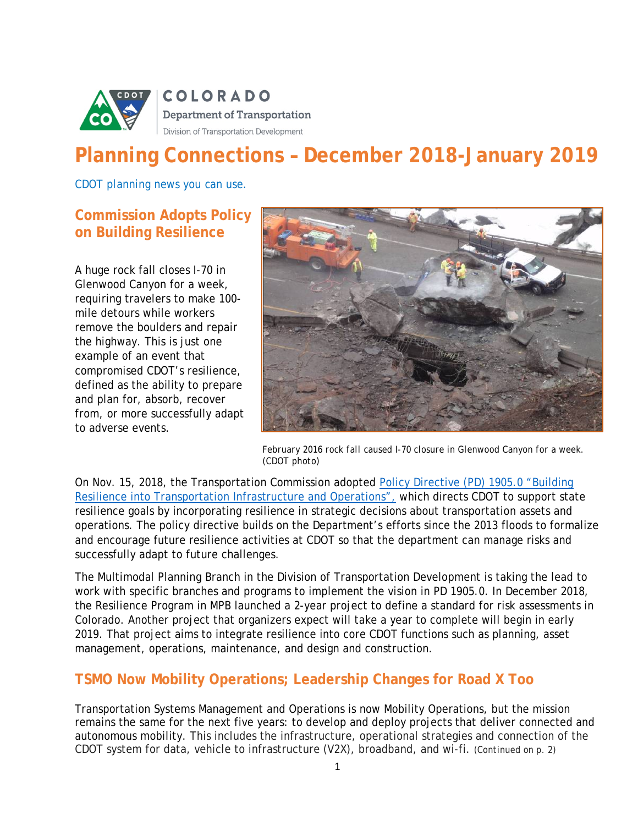

# **Planning Connections – December 2018-January 2019**

*CDOT planning news you can use.*

### **Commission Adopts Policy on Building Resilience**

A huge rock fall closes I-70 in Glenwood Canyon for a week, requiring travelers to make 100 mile detours while workers remove the boulders and repair the highway. This is just one example of an event that compromised CDOT's resilience, defined as the ability to prepare and plan for, absorb, recover from, or more successfully adapt to adverse events.



*February 2016 rock fall caused I-70 closure in Glenwood Canyon for a week. (CDOT photo)*

On Nov. 15, 2018, the Transportation Commission adopted Policy Directive (PD) [1905.0 "Building](http://intranet/job-tools/policy-procedure/documents/1905-0)  [Resilience into Transportation Infrastructure and Operations",](http://intranet/job-tools/policy-procedure/documents/1905-0) which directs CDOT to support state resilience goals by incorporating resilience in strategic decisions about transportation assets and operations. The policy directive builds on the Department's efforts since the 2013 floods to formalize and encourage future resilience activities at CDOT so that the department can manage risks and successfully adapt to future challenges.

The Multimodal Planning Branch in the Division of Transportation Development is taking the lead to work with specific branches and programs to implement the vision in PD 1905.0. In December 2018, the Resilience Program in MPB launched a 2-year project to define a standard for risk assessments in Colorado. Another project that organizers expect will take a year to complete will begin in early 2019. That project aims to integrate resilience into core CDOT functions such as planning, asset management, operations, maintenance, and design and construction.

## **TSMO Now Mobility Operations; Leadership Changes for Road X Too**

Transportation Systems Management and Operations is now Mobility Operations, but the mission remains the same for the next five years: to develop and deploy projects that deliver connected and autonomous mobility. This includes the infrastructure, operational strategies and connection of the CDOT system for data, vehicle to infrastructure (V2X), broadband, and wi-fi. *(Continued on p. 2)*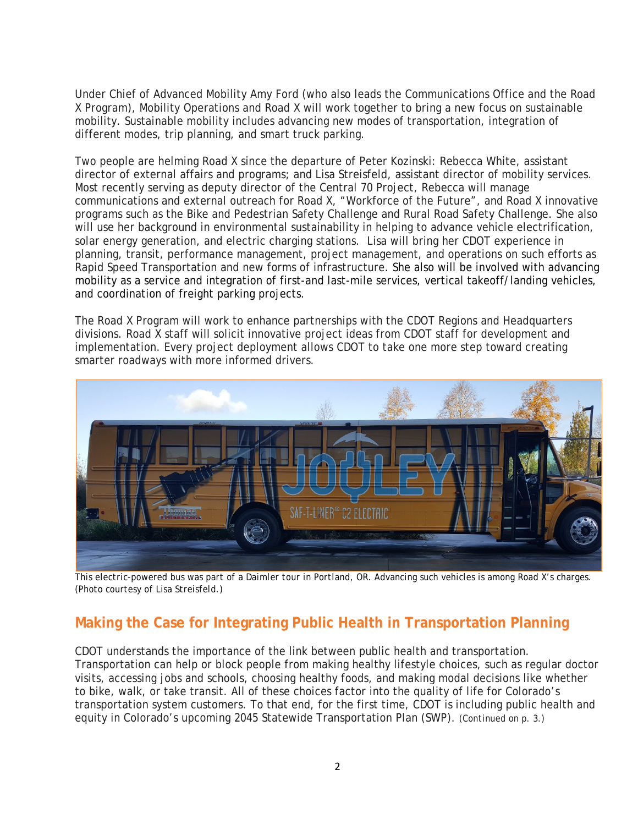Under Chief of Advanced Mobility Amy Ford (who also leads the Communications Office and the Road X Program), Mobility Operations and Road X will work together to bring a new focus on sustainable mobility. Sustainable mobility includes advancing new modes of transportation, integration of different modes, trip planning, and smart truck parking.

Two people are helming Road X since the departure of Peter Kozinski: Rebecca White, assistant director of external affairs and programs; and Lisa Streisfeld, assistant director of mobility services. Most recently serving as deputy director of the Central 70 Project, Rebecca will manage communications and external outreach for Road X, "Workforce of the Future", and Road X innovative programs such as the Bike and Pedestrian Safety Challenge and Rural Road Safety Challenge. She also will use her background in environmental sustainability in helping to advance vehicle electrification, solar energy generation, and electric charging stations. Lisa will bring her CDOT experience in planning, transit, performance management, project management, and operations on such efforts as Rapid Speed Transportation and new forms of infrastructure. She also will be involved with advancing mobility as a service and integration of first-and last-mile services, vertical takeoff/landing vehicles, and coordination of freight parking projects.

The Road X Program will work to enhance partnerships with the CDOT Regions and Headquarters divisions. Road X staff will solicit innovative project ideas from CDOT staff for development and implementation. Every project deployment allows CDOT to take one more step toward creating smarter roadways with more informed drivers.



*This electric-powered bus was part of a Daimler tour in Portland, OR. Advancing such vehicles is among Road X's charges. (Photo courtesy of Lisa Streisfeld.)*

# **Making the Case for Integrating Public Health in Transportation Planning**

CDOT understands the importance of the link between public health and transportation. Transportation can help or block people from making healthy lifestyle choices, such as regular doctor visits, accessing jobs and schools, choosing healthy foods, and making modal decisions like whether to bike, walk, or take transit. All of these choices factor into the quality of life for Colorado's transportation system customers. To that end, for the first time, CDOT is including public health and equity in Colorado's upcoming 2045 Statewide Transportation Plan (SWP). (*Continued on p. 3.)*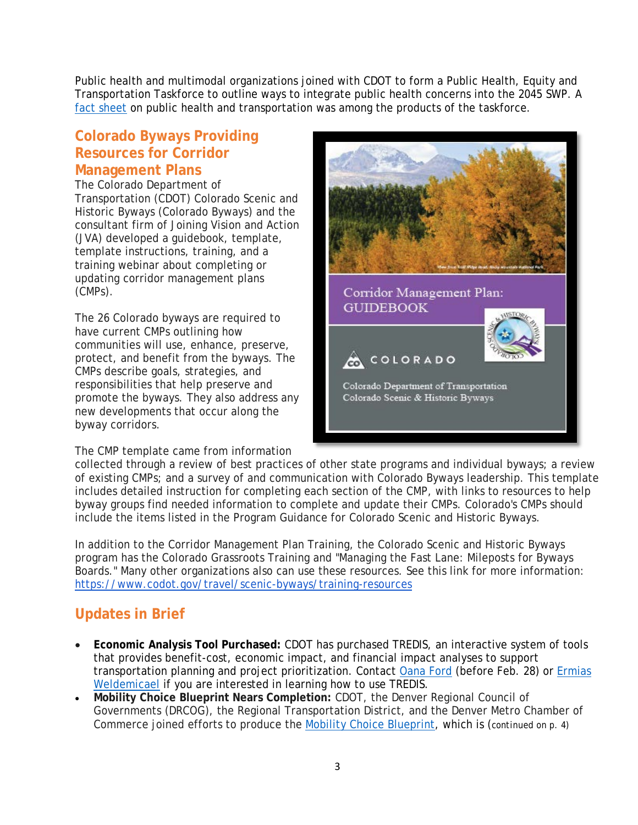Public health and multimodal organizations joined with CDOT to form a Public Health, Equity and Transportation Taskforce to outline ways to integrate public health concerns into the 2045 SWP. A fact sheet on public health and transportation was among the products of the taskforce.

## **Colorado Byways Providing Resources for Corridor Management Plans**

The Colorado Department of Transportation (CDOT) Colorado Scenic and Historic Byways (Colorado Byways) and the consultant firm of Joining Vision and Action (JVA) developed a guidebook, template, template instructions, training, and a training webinar about completing or updating corridor management plans (CMPs).

The 26 Colorado byways are required to have current CMPs outlining how communities will use, enhance, preserve, protect, and benefit from the byways. The CMPs describe goals, strategies, and responsibilities that help preserve and promote the byways. They also address any new developments that occur along the byway corridors.

The CMP template came from information



collected through a review of best practices of other state programs and individual byways; a review of existing CMPs; and a survey of and communication with Colorado Byways leadership. This template includes detailed instruction for completing each section of the CMP, with links to resources to help byway groups find needed information to complete and update their CMPs. Colorado's CMPs should include the items listed in the Program Guidance for Colorado Scenic and Historic Byways.

In addition to the Corridor Management Plan Training, the Colorado Scenic and Historic Byways program has the Colorado Grassroots Training and "Managing the Fast Lane: Mileposts for Byways Boards." Many other organizations also can use these resources. See this link for more information: <https://www.codot.gov/travel/scenic-byways/training-resources>

# **Updates in Brief**

- **Economic Analysis Tool Purchased:** CDOT has purchased TREDIS, an interactive system of tools that provides benefit-cost, economic impact, and financial impact analyses to support transportation planning and project prioritization. Contact [Oana Ford](mailto::oana.ford@state.co.us) (before Feb. 28) or [Ermias](mailto:Ermias.Weldemicael@state.co.us)  [Weldemicael](mailto:Ermias.Weldemicael@state.co.us) if you are interested in learning how to use TREDIS.
- **Mobility Choice Blueprint Nears Completion:** CDOT, the Denver Regional Council of Governments (DRCOG), the Regional Transportation District, and the Denver Metro Chamber of Commerce joined efforts to produce the [Mobility Choice Blueprint,](http://www.mobilitychoiceblueprintstudy.com/index.html) which is (*continued on p. 4)*